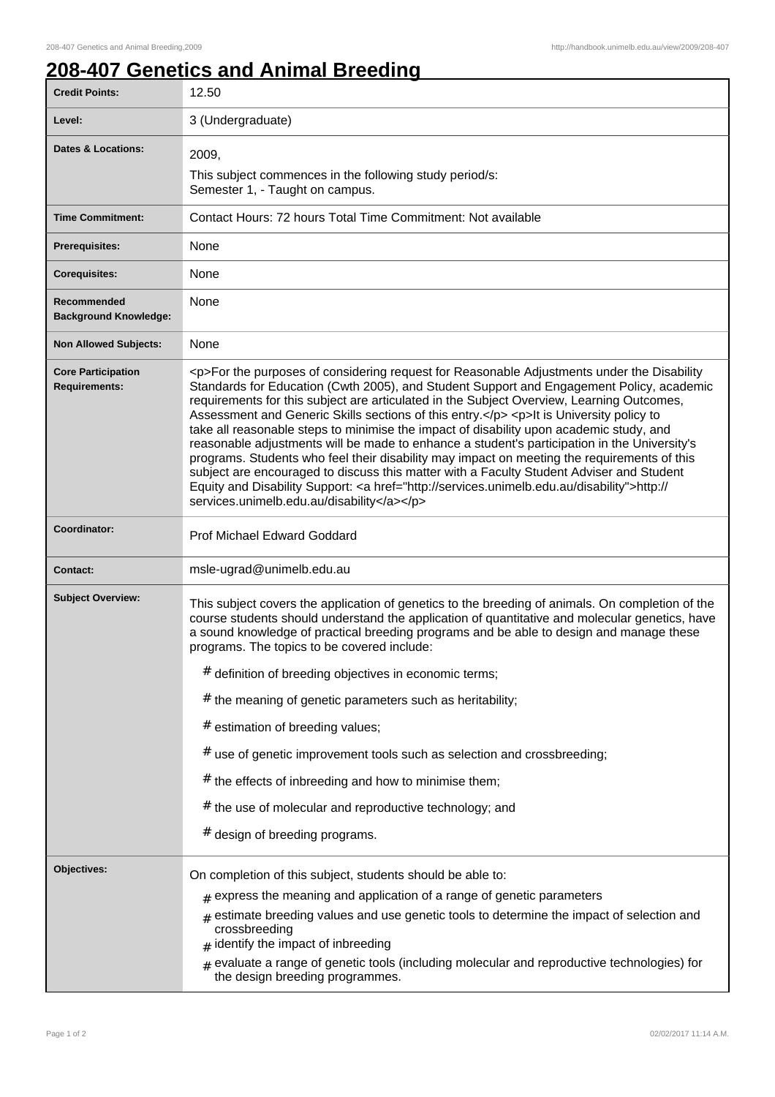## **208-407 Genetics and Animal Breeding**

| <b>Credit Points:</b>                             | 12.50                                                                                                                                                                                                                                                                                                                                                                                                                                                                                                                                                                                                                                                                                                                                                                                                                                                                                                                        |
|---------------------------------------------------|------------------------------------------------------------------------------------------------------------------------------------------------------------------------------------------------------------------------------------------------------------------------------------------------------------------------------------------------------------------------------------------------------------------------------------------------------------------------------------------------------------------------------------------------------------------------------------------------------------------------------------------------------------------------------------------------------------------------------------------------------------------------------------------------------------------------------------------------------------------------------------------------------------------------------|
| Level:                                            | 3 (Undergraduate)                                                                                                                                                                                                                                                                                                                                                                                                                                                                                                                                                                                                                                                                                                                                                                                                                                                                                                            |
| <b>Dates &amp; Locations:</b>                     | 2009,<br>This subject commences in the following study period/s:<br>Semester 1, - Taught on campus.                                                                                                                                                                                                                                                                                                                                                                                                                                                                                                                                                                                                                                                                                                                                                                                                                          |
| <b>Time Commitment:</b>                           | Contact Hours: 72 hours Total Time Commitment: Not available                                                                                                                                                                                                                                                                                                                                                                                                                                                                                                                                                                                                                                                                                                                                                                                                                                                                 |
| <b>Prerequisites:</b>                             | None                                                                                                                                                                                                                                                                                                                                                                                                                                                                                                                                                                                                                                                                                                                                                                                                                                                                                                                         |
| <b>Corequisites:</b>                              | None                                                                                                                                                                                                                                                                                                                                                                                                                                                                                                                                                                                                                                                                                                                                                                                                                                                                                                                         |
| Recommended<br><b>Background Knowledge:</b>       | None                                                                                                                                                                                                                                                                                                                                                                                                                                                                                                                                                                                                                                                                                                                                                                                                                                                                                                                         |
| <b>Non Allowed Subjects:</b>                      | None                                                                                                                                                                                                                                                                                                                                                                                                                                                                                                                                                                                                                                                                                                                                                                                                                                                                                                                         |
| <b>Core Participation</b><br><b>Requirements:</b> | <p>For the purposes of considering request for Reasonable Adjustments under the Disability<br/>Standards for Education (Cwth 2005), and Student Support and Engagement Policy, academic<br/>requirements for this subject are articulated in the Subject Overview, Learning Outcomes,<br/>Assessment and Generic Skills sections of this entry.</p> <p>lt is University policy to<br/>take all reasonable steps to minimise the impact of disability upon academic study, and<br/>reasonable adjustments will be made to enhance a student's participation in the University's<br/>programs. Students who feel their disability may impact on meeting the requirements of this<br/>subject are encouraged to discuss this matter with a Faculty Student Adviser and Student<br/>Equity and Disability Support: &lt; a href="http://services.unimelb.edu.au/disability"&gt;http://<br/>services.unimelb.edu.au/disability</p> |
| Coordinator:                                      | Prof Michael Edward Goddard                                                                                                                                                                                                                                                                                                                                                                                                                                                                                                                                                                                                                                                                                                                                                                                                                                                                                                  |
| <b>Contact:</b>                                   | msle-ugrad@unimelb.edu.au                                                                                                                                                                                                                                                                                                                                                                                                                                                                                                                                                                                                                                                                                                                                                                                                                                                                                                    |
| <b>Subject Overview:</b>                          | This subject covers the application of genetics to the breeding of animals. On completion of the<br>course students should understand the application of quantitative and molecular genetics, have<br>a sound knowledge of practical breeding programs and be able to design and manage these<br>programs. The topics to be covered include:<br># definition of breeding objectives in economic terms;<br>$#$ the meaning of genetic parameters such as heritability;<br># estimation of breeding values;<br>$#$ use of genetic improvement tools such as selection and crossbreeding;<br># the effects of inbreeding and how to minimise them;                                                                                                                                                                                                                                                                              |
|                                                   | # the use of molecular and reproductive technology; and                                                                                                                                                                                                                                                                                                                                                                                                                                                                                                                                                                                                                                                                                                                                                                                                                                                                      |
|                                                   | # design of breeding programs.                                                                                                                                                                                                                                                                                                                                                                                                                                                                                                                                                                                                                                                                                                                                                                                                                                                                                               |
| Objectives:                                       | On completion of this subject, students should be able to:<br>express the meaning and application of a range of genetic parameters<br>estimate breeding values and use genetic tools to determine the impact of selection and<br>#<br>crossbreeding<br>identify the impact of inbreeding<br>evaluate a range of genetic tools (including molecular and reproductive technologies) for<br>#<br>the design breeding programmes.                                                                                                                                                                                                                                                                                                                                                                                                                                                                                                |